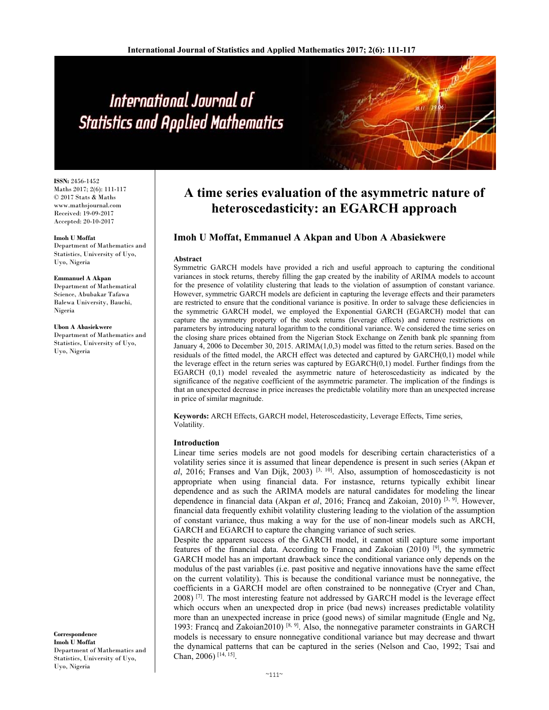# International Journal of **Statistics and Applied Mathematics**

**ISSN:** 2456-1452 Maths 2017; 2(6): 111-117 © 2017 Stats & Maths www.mathsjournal.com Received: 19-09-2017 Accepted: 20-10-2017

**Imoh U Moffat** 

Department of Mathematics and Statistics, University of Uyo, Uyo, Nigeria

**Emmanuel A Akpan**  Department of Mathematical

Science, Abubakar Tafawa Balewa University, Bauchi, Nigeria

**Ubon A Abasiekwere**  Department of Mathematics and Statistics, University of Uyo, Uyo, Nigeria

**Correspondence Imoh U Moffat**  Department of Mathematics and Statistics, University of Uyo, Uyo, Nigeria

# **A time series evaluation of the asymmetric nature of heteroscedasticity: an EGARCH approach**

## **Imoh U Moffat, Emmanuel A Akpan and Ubon A Abasiekwere**

#### **Abstract**

Symmetric GARCH models have provided a rich and useful approach to capturing the conditional variances in stock returns, thereby filling the gap created by the inability of ARIMA models to account for the presence of volatility clustering that leads to the violation of assumption of constant variance. However, symmetric GARCH models are deficient in capturing the leverage effects and their parameters are restricted to ensure that the conditional variance is positive. In order to salvage these deficiencies in the symmetric GARCH model, we employed the Exponential GARCH (EGARCH) model that can capture the asymmetry property of the stock returns (leverage effects) and remove restrictions on parameters by introducing natural logarithm to the conditional variance. We considered the time series on the closing share prices obtained from the Nigerian Stock Exchange on Zenith bank plc spanning from January 4, 2006 to December 30, 2015. ARIMA(1,0,3) model was fitted to the return series. Based on the residuals of the fitted model, the ARCH effect was detected and captured by GARCH(0,1) model while the leverage effect in the return series was captured by EGARCH(0,1) model. Further findings from the EGARCH (0,1) model revealed the asymmetric nature of heteroscedasticity as indicated by the significance of the negative coefficient of the asymmetric parameter. The implication of the findings is that an unexpected decrease in price increases the predictable volatility more than an unexpected increase in price of similar magnitude.

**Keywords:** ARCH Effects, GARCH model, Heteroscedasticity, Leverage Effects, Time series, Volatility.

#### **Introduction**

Linear time series models are not good models for describing certain characteristics of a volatility series since it is assumed that linear dependence is present in such series (Akpan *et*  al, 2016; Franses and Van Dijk, 2003)<sup>[3, 10]</sup>. Also, assumption of homoscedasticity is not appropriate when using financial data. For instasnce, returns typically exhibit linear dependence and as such the ARIMA models are natural candidates for modeling the linear dependence in financial data (Akpan *et al*, 2016; Francq and Zakoian, 2010) [3, 9]. However, financial data frequently exhibit volatility clustering leading to the violation of the assumption of constant variance, thus making a way for the use of non-linear models such as ARCH, GARCH and EGARCH to capture the changing variance of such series.

Despite the apparent success of the GARCH model, it cannot still capture some important features of the financial data. According to Francq and Zakoian  $(2010)$  [9], the symmetric GARCH model has an important drawback since the conditional variance only depends on the modulus of the past variables (i.e. past positive and negative innovations have the same effect on the current volatility). This is because the conditional variance must be nonnegative, the coefficients in a GARCH model are often constrained to be nonnegative (Cryer and Chan,  $2008$ ) <sup>[7]</sup>. The most interesting feature not addressed by GARCH model is the leverage effect which occurs when an unexpected drop in price (bad news) increases predictable volatility more than an unexpected increase in price (good news) of similar magnitude (Engle and Ng, 1993: Francq and Zakoian2010)  $[8, 9]$ . Also, the nonnegative parameter constraints in GARCH models is necessary to ensure nonnegative conditional variance but may decrease and thwart the dynamical patterns that can be captured in the series (Nelson and Cao, 1992; Tsai and Chan, 2006) [14, 15].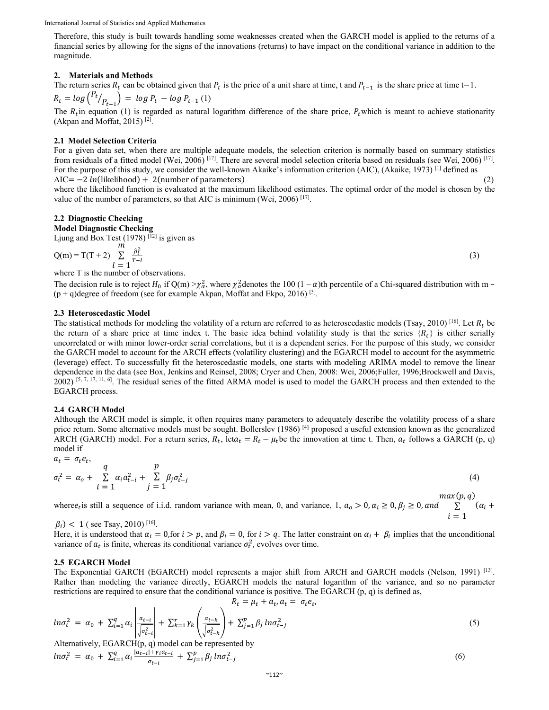International Journal of Statistics and Applied Mathematics

Therefore, this study is built towards handling some weaknesses created when the GARCH model is applied to the returns of a financial series by allowing for the signs of the innovations (returns) to have impact on the conditional variance in addition to the magnitude.

#### 2. Materials and Methods

The return series  $R_t$  can be obtained given that  $P_t$  is the price of a unit share at time, t and  $P_{t-1}$  is the share price at time t-1.  $R_t = log\binom{P_t}{P_{t-1}} = log P_t - log P_{t-1}(1)$ 

The  $R_t$  in equation (1) is regarded as natural logarithm difference of the share price,  $P_t$  which is meant to achieve stationarity (Akpan and Moffat, 2015)<sup>[2]</sup>.

#### 2.1 Model Selection Criteria

For a given data set, when there are multiple adequate models, the selection criterion is normally based on summary statistics from residuals of a fitted model (Wei, 2006) [17]. There are several model selection criteria based on residuals (see Wei, 2006) [17]. For the purpose of this study, we consider the well-known Akaike's information criterion (AIC), (Akaike, 1973)<sup>[1]</sup> defined as  $AIC = -2 ln(likelihood) + 2(number of parameters)$  $(2)$ 

where the likelihood function is evaluated at the maximum likelihood estimates. The optimal order of the model is chosen by the value of the number of parameters, so that AIC is minimum (Wei, 2006)<sup>[17]</sup>.

### 2.2 Diagnostic Checking

**Model Diagnostic Checking** 

Ljung and Box Test  $(1978)^{[12]}$  is given as

$$
Q(m) = T(T + 2) \sum_{l=1}^{m} \frac{\hat{p}_l^2}{T - l}
$$

where T is the number of observations.

The decision rule is to reject  $H_0$  if  $Q(m) > \chi^2_\alpha$ , where  $\chi^2_\alpha$  denotes the 100  $(1 - \alpha)$ th percentile of a Chi-squared distribution with m –  $(p+q)$ degree of freedom (see for example Akpan, Moffat and Ekpo, 2016)<sup>[3]</sup>.

#### 2.3 Heteroscedastic Model

The statistical methods for modeling the volatility of a return are referred to as heteroscedastic models (Tsay, 2010)<sup>[16]</sup>. Let  $R_t$  be the return of a share price at time index t. The basic idea behind volatility study is that the series  $\{R_t\}$  is either serially uncorrelated or with minor lower-order serial correlations, but it is a dependent series. For the purpose of this study, we consider the GARCH model to account for the ARCH effects (volatility clustering) and the EGARCH model to account for the asymmetric (leverage) effect. To successfully fit the heteroscedastic models, one starts with modeling ARIMA model to remove the linear dependence in the data (see Box, Jenkins and Reinsel, 2008; Cryer and Chen, 2008: Wei, 2006; Fuller, 1996; Brockwell and Davis,  $2002$ ) [5, 7, 17, 11, 6]. The residual series of the fitted ARMA model is used to model the GARCH process and then extended to the **EGARCH** process.

#### 2.4 GARCH Model

Although the ARCH model is simple, it often requires many parameters to adequately describe the volatility process of a share price return. Some alternative models must be sought. Bollerslev (1986)<sup>[4]</sup> proposed a useful extension known as the generalized ARCH (GARCH) model. For a return series,  $R_t$ , let $a_t = R_t - \mu_t$  be the innovation at time t. Then,  $a_t$  follows a GARCH (p, q) model if

$$
a_t = \sigma_t e_t, \qquad q
$$
  
\n
$$
\sigma_t^2 = \alpha_o + \sum_{i=1}^q \alpha_i a_{t-i}^2 + \sum_{j=1}^p \beta_j \sigma_{t-j}^2
$$
\n(4)

where  $e_t$  is still a sequence of i.i.d. random variance with mean, 0, and variance, 1,  $a_0 > 0$ ,  $\alpha_i \ge 0$ ,  $\beta_j \ge 0$ , and  $\sum_{i=1}^{n} (\alpha_i + \beta_i)$ 

 $\beta_i$ ) < 1 (see Tsay, 2010)<sup>[16]</sup>.

Here, it is understood that  $\alpha_i = 0$ , for  $i > p$ , and  $\beta_i = 0$ , for  $i > q$ . The latter constraint on  $\alpha_i + \beta_i$  implies that the unconditional variance of  $a_t$  is finite, whereas its conditional variance  $\sigma_t^2$ , evolves over time.

#### **2.5 EGARCH Model**

The Exponential GARCH (EGARCH) model represents a major shift from ARCH and GARCH models (Nelson, 1991)<sup>[13]</sup>. Rather than modeling the variance directly, EGARCH models the natural logarithm of the variance, and so no parameter restrictions are required to ensure that the conditional variance is positive. The EGARCH  $(p, q)$  is defined as,

$$
R_t = \mu_t + a_t, a_t = \sigma_t e_t,
$$
  
\n
$$
\ln \sigma_t^2 = \alpha_0 + \sum_{i=1}^q \alpha_i \left| \frac{a_{t-i}}{\sqrt{\sigma_{t-i}^2}} \right| + \sum_{k=1}^r \gamma_k \left( \frac{a_{t-k}}{\sqrt{\sigma_{t-k}^2}} \right) + \sum_{j=1}^p \beta_j \ln \sigma_{t-j}^2
$$
\n
$$
\text{Alternatively: FGARCH(n, a) model can be represented by}
$$
\n
$$
(5)
$$

$$
ln \sigma_t^2 = \alpha_0 + \sum_{i=1}^q \alpha_i \frac{|a_{t-i}| + \gamma_i a_{t-i}}{\sigma_{t-i}} + \sum_{j=1}^p \beta_j ln \sigma_{t-j}^2
$$
 (6)

 $(3)$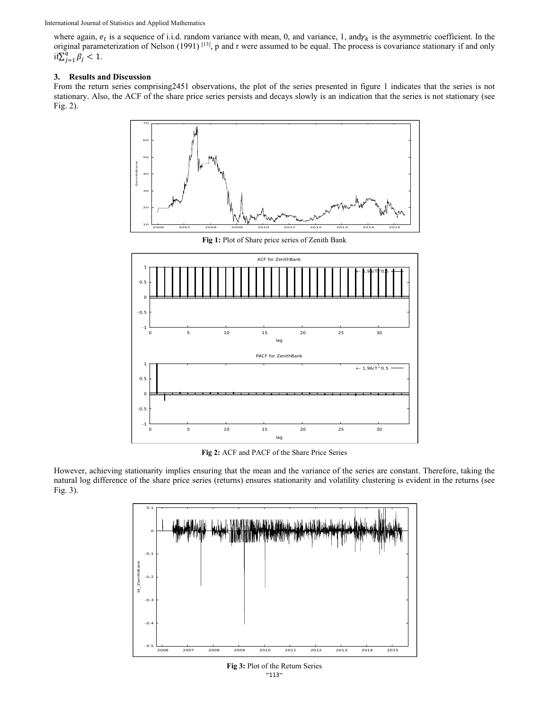where again,  $e_t$  is a sequence of i.i.d. random variance with mean, 0, and variance, 1, and $\gamma_k$  is the asymmetric coefficient. In the original parameterization of Nelson (1991)<sup>[13]</sup>, p and r were assumed to be equal. The process is covariance stationary if and only if  $\sum_{j=1}^{q} \beta_j < 1$ .

#### **3. Results and Discussion**

From the return series comprising2451 observations, the plot of the series presented in figure 1 indicates that the series is not stationary. Also, the ACF of the share price series persists and decays slowly is an indication that the series is not stationary (see Fig. 2).



**Fig 2:** ACF and PACF of the Share Price Series

However, achieving stationarity implies ensuring that the mean and the variance of the series are constant. Therefore, taking the natural log difference of the share price series (returns) ensures stationarity and volatility clustering is evident in the returns (see Fig. 3).



 $~^{\sim}$ 113 $~^{\sim}$ **Fig 3:** Plot of the Return Series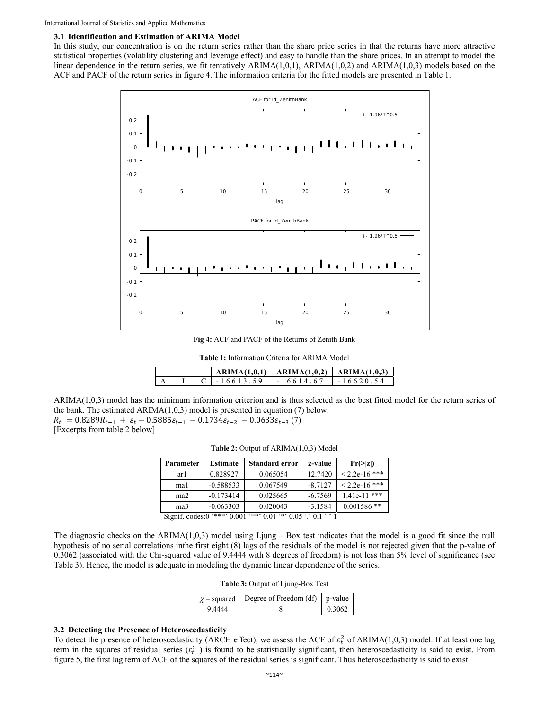#### 3.1 Identification and Estimation of ARIMA Model

In this study, our concentration is on the return series rather than the share price series in that the returns have more attractive statistical properties (volatility clustering and leverage effect) and easy to handle than the share prices. In an attempt to model the linear dependence in the return series, we fit tentatively ARIMA $(1,0,1)$ , ARIMA $(1,0,2)$  and ARIMA $(1,0,3)$  models based on the ACF and PACF of the return series in figure 4. The information criteria for the fitted models are presented in Table 1.

![](_page_3_Figure_3.jpeg)

Fig 4: ACF and PACF of the Returns of Zenith Bank

Table 1: Information Criteria for ARIMA Model

|  |               | $ARIMA(1.0.1)$   $ARIMA(1.0.2)$   $ARIMA(1.0.3)$ |                |
|--|---------------|--------------------------------------------------|----------------|
|  | $C = 1661359$ | 1-1661467                                        | $1 - 16620.54$ |

 $ARIMA(1,0,3)$  model has the minimum information criterion and is thus selected as the best fitted model for the return series of the bank. The estimated  $ARIMA(1,0,3)$  model is presented in equation (7) below.  $R_t = 0.8289R_{t-1} + \varepsilon_t - 0.5885\varepsilon_{t-1} - 0.1734\varepsilon_{t-2} - 0.0633\varepsilon_{t-3}$  (7) [Excerpts from table 2 below]

| Parameter       | Estimate                       | <b>Standard error</b>                      | z-value   | $Pr(>= z )$     |
|-----------------|--------------------------------|--------------------------------------------|-----------|-----------------|
| ar 1            | 0.828927                       | 0.065054                                   | 12.7420   | $< 2.2e-16$ *** |
| mal             | $-0.588533$                    | 0.067549                                   | $-8.7127$ | $< 2.2e-16$ *** |
| ma <sub>2</sub> | $-0.173414$                    | 0.025665                                   | $-6.7569$ | $1.41e-11$ ***  |
| ma3             | $-0.063303$                    | 0.020043                                   | $-3.1584$ | $0.001586$ **   |
|                 | Signif codes $0$ '***' $0.001$ | $***$ 0.01 $**$ 0.05 $\cdot$ 0.1 $\cdot$ 1 |           |                 |

Table 2: Output of ARIMA(1,0,3) Model

The diagnostic checks on the ARIMA $(1,0,3)$  model using Ljung – Box test indicates that the model is a good fit since the null hypothesis of no serial correlations in the first eight (8) lags of the residuals of the model is not rejected given that the p-value of 0.3062 (associated with the Chi-squared value of 9.4444 with 8 degrees of freedom) is not less than 5% level of significance (see Table 3). Hence, the model is adequate in modeling the dynamic linear dependence of the series.

| Table 3: Output of Ljung-Box Test |  |  |  |
|-----------------------------------|--|--|--|
|                                   |  |  |  |

|        | $\chi$ – squared Degree of Freedom (df) p-value |        |
|--------|-------------------------------------------------|--------|
| 9 4444 |                                                 | 0.3062 |

#### 3.2 Detecting the Presence of Heteroscedasticity

To detect the presence of heteroscedasticity (ARCH effect), we assess the ACF of  $\varepsilon_t^2$  of ARIMA(1,0,3) model. If at least one lag term in the squares of residual series ( $\varepsilon_t^2$ ) is found to be statistically significant, then heteroscedasticity is said to exist. From figure 5, the first lag term of ACF of the squares of the residual series is significant. Thus heteroscedasticity is said to exist.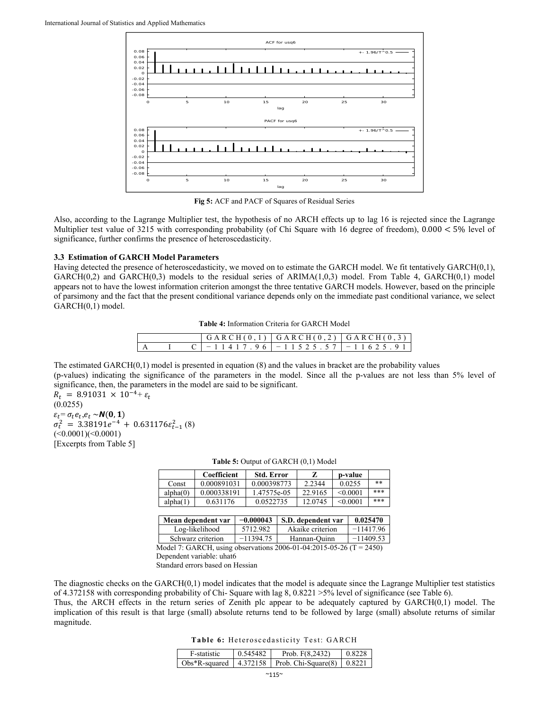![](_page_4_Figure_1.jpeg)

**Fig 5:** ACF and PACF of Squares of Residual Series

Also, according to the Lagrange Multiplier test, the hypothesis of no ARCH effects up to lag 16 is rejected since the Lagrange Multiplier test value of 3215 with corresponding probability (of Chi Square with 16 degree of freedom),  $0.000 < 5\%$  level of significance, further confirms the presence of heteroscedasticity.

#### **3.3 Estimation of GARCH Model Parameters**

Having detected the presence of heteroscedasticity, we moved on to estimate the GARCH model. We fit tentatively GARCH(0,1),  $GARCH(0,2)$  and  $GARCH(0,3)$  models to the residual series of  $ARIMA(1,0,3)$  model. From Table 4,  $GARCH(0,1)$  model appears not to have the lowest information criterion amongst the three tentative GARCH models. However, based on the principle of parsimony and the fact that the present conditional variance depends only on the immediate past conditional variance, we select GARCH(0,1) model.

**Table 4:** Information Criteria for GARCH Model

|  |  | $  G \triangle R CH(0,1)   G \triangle R CH(0,2)   G \triangle R CH(0,3)  $ |
|--|--|-----------------------------------------------------------------------------|
|  |  | $C$ 1 - 1 1 4 1 7 . 9 6 1 - 1 1 5 2 5 . 5 7 1 - 1 1 6 2 5 . 9 1 1           |

The estimated GARCH(0,1) model is presented in equation (8) and the values in bracket are the probability values (p-values) indicating the significance of the parameters in the model. Since all the p-values are not less than 5% level of significance, then, the parameters in the model are said to be significant.

 $R_t = 8.91031 \times 10^{-4} + \varepsilon_t$ (0.0255)  $\varepsilon_t = \sigma_t e_t, e_t \sim N(0, 1)$  $\sigma_t^2 = 3.38191e^{-4} + 0.631176\varepsilon_{t-1}^2$  (8)  $(<0.0001)(<0.0001)$ [Excerpts from Table 5]

|          | <b>Coefficient</b> | <b>Std. Error</b> | z       | p-value  |     |
|----------|--------------------|-------------------|---------|----------|-----|
| Const    | 0.000891031        | 0.000398773       | 2.2344  | 0.0255   | **  |
| alpha(0) | 0.000338191        | 1.47575e-05       | 22.9165 | < 0.0001 | *** |
| alpha(1) | 0.631176           | 0.0522735         | 12.0745 | < 0.0001 | *** |

#### **Table 5:** Output of GARCH (0,1) Model

| Mean dependent var | $-0.000043$ | S.D. dependent var | 0.025470                     |
|--------------------|-------------|--------------------|------------------------------|
| Log-likelihood     | 5712.982    | Akaike criterion   | $-11417.96$                  |
| Schwarz criterion  | $-11394.75$ | Hannan-Quinn       | $-11409.53$                  |
|                    |             |                    | $\bigcap_{n \in \mathbb{N}}$ |

Model 7: GARCH, using observations 2006-01-04:2015-05-26 (T = 2450) Dependent variable: uhat6

Standard errors based on Hessian

The diagnostic checks on the GARCH(0,1) model indicates that the model is adequate since the Lagrange Multiplier test statistics of 4.372158 with corresponding probability of Chi- Square with lag 8, 0.8221 >5% level of significance (see Table 6).

Thus, the ARCH effects in the return series of Zenith plc appear to be adequately captured by GARCH(0,1) model. The implication of this result is that large (small) absolute returns tend to be followed by large (small) absolute returns of similar magnitude.

**Table 6:** Heteroscedasticity Test: GARCH

| F-statistic | 0.545482 | Prob. $F(8.2432)$                                            | $0.8228$ 1 |
|-------------|----------|--------------------------------------------------------------|------------|
|             |          | $\log^*R$ -squared   4.372158   Prob. Chi-Square(8)   0.8221 |            |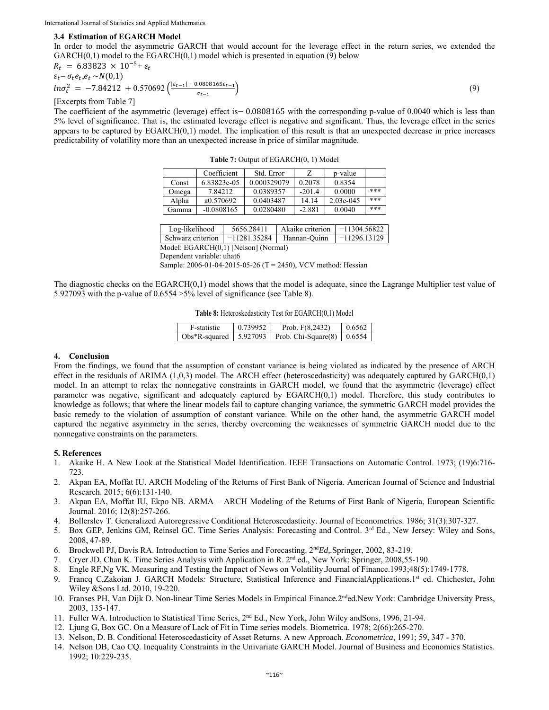#### **3.4 Estimation of EGARCH Model**

In order to model the asymmetric GARCH that would account for the leverage effect in the return series, we extended the  $GARCH(0,1)$  model to the EGARCH $(0,1)$  model which is presented in equation (9) below

$$
R_t = 6.83823 \times 10^{-5} + \varepsilon_t
$$
  
\n
$$
\varepsilon_t = \sigma_t e_t, e_t \sim N(0,1)
$$

$$
ln \sigma_t^2 = -7.84212 + 0.570692 \left( \frac{|\varepsilon_{t-1}| - 0.0808165\varepsilon_{t-1}}{\sigma_{t-1}} \right) \tag{9}
$$

[Excerpts from Table 7]

The coefficient of the asymmetric (leverage) effect is  $-0.0808165$  with the corresponding p-value of 0.0040 which is less than 5% level of significance. That is, the estimated leverage effect is negative and significant. Thus, the leverage effect in the series appears to be captured by EGARCH(0,1) model. The implication of this result is that an unexpected decrease in price increases predictability of volatility more than an unexpected increase in price of similar magnitude.

| <b>Table 7:</b> Output of EGARCH(0, 1) Model |  |
|----------------------------------------------|--|
|----------------------------------------------|--|

|       | Coefficient  | Std. Error  | 7        | p-value   |     |
|-------|--------------|-------------|----------|-----------|-----|
| Const | 6.83823e-05  | 0.000329079 | 0.2078   | 0.8354    |     |
| Omega | 784212       | 0.0389357   | $-201.4$ | 0.0000    | *** |
| Alpha | a0.570692    | 0.0403487   | 14.14    | 2.03e-045 | *** |
| Gamma | $-0.0808165$ | 0.0280480   | $-2.881$ | 0.0040    | *** |

| Log-likelihood    | 5656.28411     | Akaike criterion | $-11304.56822$ |
|-------------------|----------------|------------------|----------------|
| Schwarz criterion | $-11281.35284$ | Hannan-Quinn     | $-11296.13129$ |

Model: EGARCH(0,1) [Nelson] (Normal)

Dependent variable: uhat6

Sample: 2006-01-04-2015-05-26 (T = 2450), VCV method: Hessian

The diagnostic checks on the EGARCH(0,1) model shows that the model is adequate, since the Lagrange Multiplier test value of 5.927093 with the p-value of 0.6554 >5% level of significance (see Table 8).

|  |  |  | <b>Table 8:</b> Heteroskedasticity Test for EGARCH(0,1) Model |  |  |
|--|--|--|---------------------------------------------------------------|--|--|
|--|--|--|---------------------------------------------------------------|--|--|

| F-statistic | 0.739952 | Prob. $F(8.2432)$                                                                 | 0.6562 |
|-------------|----------|-----------------------------------------------------------------------------------|--------|
|             |          | $\vert$ Obs*R-squared $\vert$ 5.927093 $\vert$ Prob. Chi-Square(8) $\vert$ 0.6554 |        |

#### **4. Conclusion**

From the findings, we found that the assumption of constant variance is being violated as indicated by the presence of ARCH effect in the residuals of ARIMA  $(1,0,3)$  model. The ARCH effect (heteroscedasticity) was adequately captured by GARCH $(0,1)$ model. In an attempt to relax the nonnegative constraints in GARCH model, we found that the asymmetric (leverage) effect parameter was negative, significant and adequately captured by EGARCH(0,1) model. Therefore, this study contributes to knowledge as follows; that where the linear models fail to capture changing variance, the symmetric GARCH model provides the basic remedy to the violation of assumption of constant variance. While on the other hand, the asymmetric GARCH model captured the negative asymmetry in the series, thereby overcoming the weaknesses of symmetric GARCH model due to the nonnegative constraints on the parameters.

#### **5. References**

- 1. Akaike H. A New Look at the Statistical Model Identification. IEEE Transactions on Automatic Control. 1973; (19)6:716- 723.
- 2. Akpan EA, Moffat IU. ARCH Modeling of the Returns of First Bank of Nigeria. American Journal of Science and Industrial Research. 2015; 6(6):131-140.
- 3. Akpan EA, Moffat IU, Ekpo NB. ARMA ARCH Modeling of the Returns of First Bank of Nigeria, European Scientific Journal. 2016; 12(8):257-266.
- 4. Bollerslev T. Generalized Autoregressive Conditional Heteroscedasticity. Journal of Econometrics. 1986; 31(3):307-327.
- 5. Box GEP, Jenkins GM, Reinsel GC. Time Series Analysis: Forecasting and Control. 3rd Ed., New Jersey: Wiley and Sons, 2008, 47-89.
- 6. Brockwell PJ, Davis RA. Introduction to Time Series and Forecasting. 2nd*Ed,.*Springer, 2002, 83-219.
- 7. Cryer JD, Chan K. Time Series Analysis with Application in R. 2nd ed., New York: Springer, 2008,55-190.
- 8. Engle RF,Ng VK. Measuring and Testing the Impact of News on Volatility.Journal of Finance.1993;48(5):1749-1778.
- 9. Francq C,Zakoian J. GARCH Models*:* Structure, Statistical Inference and FinancialApplications.1st ed. Chichester, John Wiley &Sons Ltd. 2010, 19-220.
- 10. Franses PH, Van Dijk D. Non-linear Time Series Models in Empirical Finance*.*2nded.New York: Cambridge University Press, 2003, 135-147.
- 11. Fuller WA. Introduction to Statistical Time Series, 2nd Ed., New York, John Wiley andSons, 1996, 21-94.
- 12. Ljung G, Box GC. On a Measure of Lack of Fit in Time series models. Biometrica. 1978; 2(66):265-270.
- 13. Nelson, D. B. Conditional Heteroscedasticity of Asset Returns. A new Approach. *Econometrica*, 1991; 59, 347 370.
- 14. Nelson DB, Cao CQ. Inequality Constraints in the Univariate GARCH Model. Journal of Business and Economics Statistics. 1992; 10:229-235.